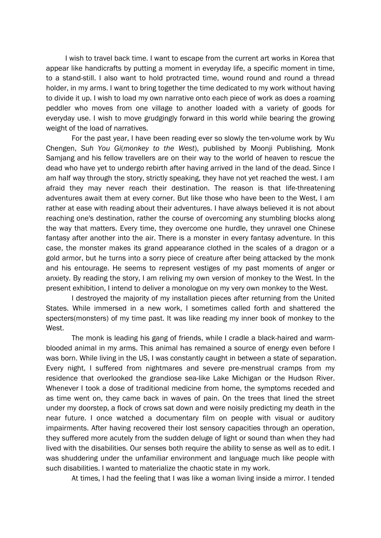I wish to travel back time. I want to escape from the current art works in Korea that appear like handicrafts by putting a moment in everyday life, a specific moment in time, to a stand-still. I also want to hold protracted time, wound round and round a thread holder, in my arms. I want to bring together the time dedicated to my work without having to divide it up. I wish to load my own narrative onto each piece of work as does a roaming peddler who moves from one village to another loaded with a variety of goods for everyday use. I wish to move grudgingly forward in this world while bearing the growing weight of the load of narratives.

For the past year, I have been reading ever so slowly the ten-volume work by Wu Chengen, *Suh You Gi*(*monkey to the West*), published by Moonji Publishing. Monk Samjang and his fellow travellers are on their way to the world of heaven to rescue the dead who have yet to undergo rebirth after having arrived in the land of the dead. Since I am half way through the story, strictly speaking, they have not yet reached the west. I am afraid they may never reach their destination. The reason is that life-threatening adventures await them at every corner. But like those who have been to the West, I am rather at ease with reading about their adventures. I have always believed it is not about reaching one's destination, rather the course of overcoming any stumbling blocks along the way that matters. Every time, they overcome one hurdle, they unravel one Chinese fantasy after another into the air. There is a monster in every fantasy adventure. In this case, the monster makes its grand appearance clothed in the scales of a dragon or a gold armor, but he turns into a sorry piece of creature after being attacked by the monk and his entourage. He seems to represent vestiges of my past moments of anger or anxiety. By reading the story, I am reliving my own version of monkey to the West. In the present exhibition, I intend to deliver a monologue on my very own monkey to the West.

I destroyed the majority of my installation pieces after returning from the United States. While immersed in a new work, I sometimes called forth and shattered the specters(monsters) of my time past. It was like reading my inner book of monkey to the West.

The monk is leading his gang of friends, while I cradle a black-haired and warmblooded animal in my arms. This animal has remained a source of energy even before I was born. While living in the US, I was constantly caught in between a state of separation. Every night, I suffered from nightmares and severe pre-menstrual cramps from my residence that overlooked the grandiose sea-like Lake Michigan or the Hudson River. Whenever I took a dose of traditional medicine from home, the symptoms receded and as time went on, they came back in waves of pain. On the trees that lined the street under my doorstep, a flock of crows sat down and were noisily predicting my death in the near future. I once watched a documentary film on people with visual or auditory impairments. After having recovered their lost sensory capacities through an operation, they suffered more acutely from the sudden deluge of light or sound than when they had lived with the disabilities. Our senses both require the ability to sense as well as to edit. I was shuddering under the unfamiliar environment and language much like people with such disabilities. I wanted to materialize the chaotic state in my work.

At times, I had the feeling that I was like a woman living inside a mirror. I tended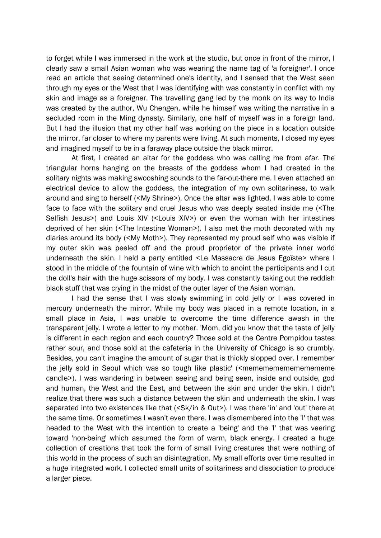to forget while I was immersed in the work at the studio, but once in front of the mirror, I clearly saw a small Asian woman who was wearing the name tag of 'a foreigner'. I once read an article that seeing determined one's identity, and I sensed that the West seen through my eyes or the West that I was identifying with was constantly in conflict with my skin and image as a foreigner. The travelling gang led by the monk on its way to India was created by the author, Wu Chengen, while he himself was writing the narrative in a secluded room in the Ming dynasty. Similarly, one half of myself was in a foreign land. But I had the illusion that my other half was working on the piece in a location outside the mirror, far closer to where my parents were living. At such moments, I closed my eyes and imagined myself to be in a faraway place outside the black mirror.

At first, I created an altar for the goddess who was calling me from afar. The triangular horns hanging on the breasts of the goddess whom I had created in the solitary nights was making swooshing sounds to the far-out-there me. I even attached an electrical device to allow the goddess, the integration of my own solitariness, to walk around and sing to herself (<My Shrine>). Once the altar was lighted, I was able to come face to face with the solitary and cruel Jesus who was deeply seated inside me (<The Selfish Jesus>) and Louis XIV (<Louis XIV>) or even the woman with her intestines deprived of her skin (<The Intestine Woman>). I also met the moth decorated with my diaries around its body (<My Moth>). They represented my proud self who was visible if my outer skin was peeled off and the proud proprietor of the private inner world underneath the skin. I held a party entitled <Le Massacre de Jesus Egoïste> where I stood in the middle of the fountain of wine with which to anoint the participants and I cut the doll's hair with the huge scissors of my body. I was constantly taking out the reddish black stuff that was crying in the midst of the outer layer of the Asian woman.

I had the sense that I was slowly swimming in cold jelly or I was covered in mercury underneath the mirror. While my body was placed in a remote location, in a small place in Asia, I was unable to overcome the time difference awash in the transparent jelly. I wrote a letter to my mother. 'Mom, did you know that the taste of jelly is different in each region and each country? Those sold at the Centre Pompidou tastes rather sour, and those sold at the cafeteria in the University of Chicago is so crumbly. Besides, you can't imagine the amount of sugar that is thickly slopped over. I remember the jelly sold in Seoul which was so tough like plastic' (<mememememememememe candle>). I was wandering in between seeing and being seen, inside and outside, god and human, the West and the East, and between the skin and under the skin. I didn't realize that there was such a distance between the skin and underneath the skin. I was separated into two existences like that (<Sk/in & Out>). I was there 'in' and 'out' there at the same time. Or sometimes I wasn't even there. I was dismembered into the 'I' that was headed to the West with the intention to create a 'being' and the 'I' that was veering toward 'non-being' which assumed the form of warm, black energy. I created a huge collection of creations that took the form of small living creatures that were nothing of this world in the process of such an disintegration. My small efforts over time resulted in a huge integrated work. I collected small units of solitariness and dissociation to produce a larger piece.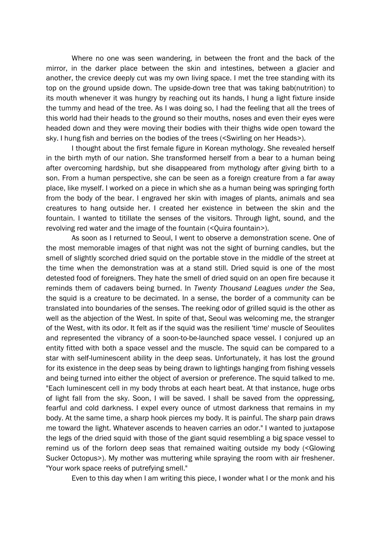Where no one was seen wandering, in between the front and the back of the mirror, in the darker place between the skin and intestines, between a glacier and another, the crevice deeply cut was my own living space. I met the tree standing with its top on the ground upside down. The upside-down tree that was taking bab(nutrition) to its mouth whenever it was hungry by reaching out its hands, I hung a light fixture inside the tummy and head of the tree. As I was doing so, I had the feeling that all the trees of this world had their heads to the ground so their mouths, noses and even their eyes were headed down and they were moving their bodies with their thighs wide open toward the sky. I hung fish and berries on the bodies of the trees (<Swirling on her Heads>).

I thought about the first female figure in Korean mythology. She revealed herself in the birth myth of our nation. She transformed herself from a bear to a human being after overcoming hardship, but she disappeared from mythology after giving birth to a son. From a human perspective, she can be seen as a foreign creature from a far away place, like myself. I worked on a piece in which she as a human being was springing forth from the body of the bear. I engraved her skin with images of plants, animals and sea creatures to hang outside her. I created her existence in between the skin and the fountain. I wanted to titillate the senses of the visitors. Through light, sound, and the revolving red water and the image of the fountain (<Quira fountain>).

As soon as I returned to Seoul, I went to observe a demonstration scene. One of the most memorable images of that night was not the sight of burning candles, but the smell of slightly scorched dried squid on the portable stove in the middle of the street at the time when the demonstration was at a stand still. Dried squid is one of the most detested food of foreigners. They hate the smell of dried squid on an open fire because it reminds them of cadavers being burned. In *Twenty Thousand Leagues under the Sea*, the squid is a creature to be decimated. In a sense, the border of a community can be translated into boundaries of the senses. The reeking odor of grilled squid is the other as well as the abjection of the West. In spite of that, Seoul was welcoming me, the stranger of the West, with its odor. It felt as if the squid was the resilient 'time' muscle of Seoulites and represented the vibrancy of a soon-to-be-launched space vessel. I conjured up an entity fitted with both a space vessel and the muscle. The squid can be compared to a star with self-luminescent ability in the deep seas. Unfortunately, it has lost the ground for its existence in the deep seas by being drawn to lightings hanging from fishing vessels and being turned into either the object of aversion or preference. The squid talked to me. "Each luminescent cell in my body throbs at each heart beat. At that instance, huge orbs of light fall from the sky. Soon, I will be saved. I shall be saved from the oppressing, fearful and cold darkness. I expel every ounce of utmost darkness that remains in my body. At the same time, a sharp hook pierces my body. It is painful. The sharp pain draws me toward the light. Whatever ascends to heaven carries an odor." I wanted to juxtapose the legs of the dried squid with those of the giant squid resembling a big space vessel to remind us of the forlorn deep seas that remained waiting outside my body (<Glowing Sucker Octopus>). My mother was muttering while spraying the room with air freshener. "Your work space reeks of putrefying smell."

Even to this day when I am writing this piece, I wonder what I or the monk and his